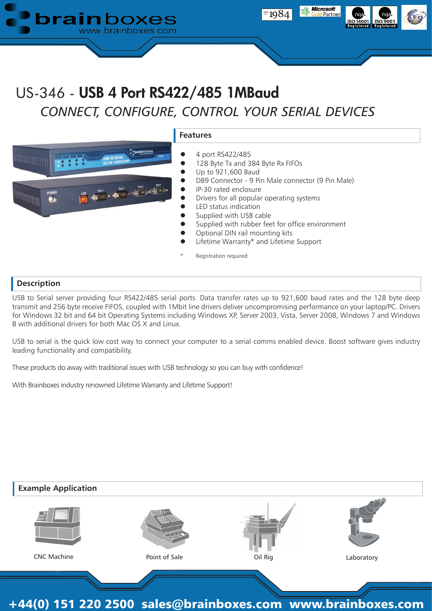

# US-346 - USB 4 Port RS422/485 1MBaud *CONNECT, CONFIGURE, CONTROL YOUR SERIAL DEVICES*



#### **Features**

- 4 port RS422/485
- 128 Byte Tx and 384 Byte Rx FIFOs
	- Up to 921,600 Baud
- DB9 Connector 9 Pin Male connector (9 Pin Male)
- IP-30 rated enclosure
- Drivers for all popular operating systems
- LED status indication
- Supplied with USB cable
- Supplied with rubber feet for office environment
- Optional DIN rail mounting kits
- Lifetime Warranty\* and Lifetime Support
- Registration required

### **Description**

USB to Serial server providing four RS422/485 serial ports. Data transfer rates up to 921,600 baud rates and the 128 byte deep transmit and 256 byte receive FIFOS, coupled with 1Mbit line drivers deliver uncompromising performance on your laptop/PC. Drivers for Windows 32 bit and 64 bit Operating Systems including Windows XP, Server 2003, Vista, Server 2008, Windows 7 and Windows 8 with additional drivers for both Mac OS X and Linux.

USB to serial is the quick low cost way to connect your computer to a serial comms enabled device. Boost software gives industry leading functionality and compatibility.

These products do away with traditional issues with USB technology so you can buy with confidence!

With Brainboxes industry renowned Lifetime Warranty and Lifetime Support!

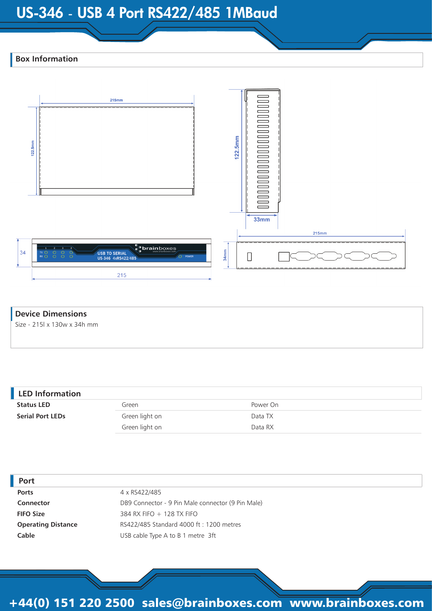## US-346 - USB 4 Port RS422/485 1MBaud

### **Box Information**



### **Device Dimensions**

Size - 215l x 130w x 34h mm

| <b>LED Information</b>  |                |          |
|-------------------------|----------------|----------|
| <b>Status LED</b>       | Green          | Power On |
| <b>Serial Port LEDs</b> | Green light on | Data TX  |
|                         | Green light on | Data RX  |
|                         |                |          |

| Port                      |                                                   |
|---------------------------|---------------------------------------------------|
| <b>Ports</b>              | 4 x RS422/485                                     |
| Connector                 | DB9 Connector - 9 Pin Male connector (9 Pin Male) |
| <b>FIFO Size</b>          | 384 RX FIFO $+$ 128 TX FIFO                       |
| <b>Operating Distance</b> | RS422/485 Standard 4000 ft : 1200 metres          |
| Cable                     | USB cable Type A to B 1 metre 3ft                 |
|                           |                                                   |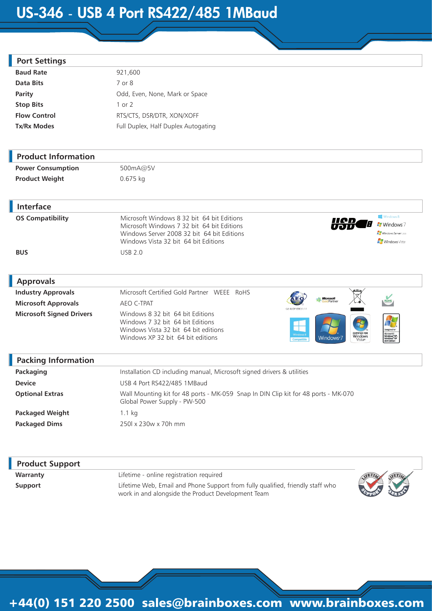## US-346 - USB 4 Port RS422/485 1MBaud

| <b>Port Settings</b>            |                                                                                                                                                                                                       |                                                                              |
|---------------------------------|-------------------------------------------------------------------------------------------------------------------------------------------------------------------------------------------------------|------------------------------------------------------------------------------|
| <b>Baud Rate</b>                | 921,600                                                                                                                                                                                               |                                                                              |
| <b>Data Bits</b>                | 7 or 8                                                                                                                                                                                                |                                                                              |
| <b>Parity</b>                   | Odd, Even, None, Mark or Space                                                                                                                                                                        |                                                                              |
| <b>Stop Bits</b>                | 1 or 2                                                                                                                                                                                                |                                                                              |
| <b>Flow Control</b>             | RTS/CTS, DSR/DTR, XON/XOFF                                                                                                                                                                            |                                                                              |
| Tx/Rx Modes                     | Full Duplex, Half Duplex Autogating                                                                                                                                                                   |                                                                              |
| <b>Product Information</b>      |                                                                                                                                                                                                       |                                                                              |
| <b>Power Consumption</b>        | 500mA@5V                                                                                                                                                                                              |                                                                              |
| <b>Product Weight</b>           | 0.675 kg                                                                                                                                                                                              |                                                                              |
| <b>Interface</b>                |                                                                                                                                                                                                       |                                                                              |
| <b>OS Compatibility</b>         | Microsoft Windows 8 32 bit 64 bit Editions<br><u>IIAD</u><br>Microsoft Windows 7 32 bit 64 bit Editions<br>Windows Server 2008 32 bit 64 bit Editions<br>Windows Vista 32 bit 64 bit Editions         | Windows 8<br><b>Mindows</b> 7<br>Windows Server 2008<br><b>Windows</b> Vista |
| <b>BUS</b>                      | <b>USB 2.0</b>                                                                                                                                                                                        |                                                                              |
| <b>Approvals</b>                |                                                                                                                                                                                                       |                                                                              |
| <b>Industry Approvals</b>       | Microsoft Certified Gold Partner WEEE RoHS<br>Microsoft                                                                                                                                               |                                                                              |
| <b>Microsoft Approvals</b>      | AEO C-TPAT<br>GB AFOE 00031/1                                                                                                                                                                         | RoHS                                                                         |
| <b>Microsoft Signed Drivers</b> | Windows 8 32 bit 64 bit Editions<br>Windows 7 32 bit 64 bit Editions<br>Windows Vista 32 bit 64 bit editions<br>CERTIFIED FOR<br>Windows<br>Windows XP 32 bit 64 bit editions<br>Windows <sup>,</sup> | esigned for<br>Microsoft®<br>Windows®XP,<br>Windows®XP<br>x64 Edition        |
| <b>Packing Information</b>      |                                                                                                                                                                                                       |                                                                              |
| Packaging                       | Installation CD including manual, Microsoft signed drivers & utilities                                                                                                                                |                                                                              |
| <b>Device</b>                   | USB 4 Port RS422/485 1MBaud                                                                                                                                                                           |                                                                              |
| <b>Optional Extras</b>          | Wall Mounting kit for 48 ports - MK-059 Snap In DIN Clip kit for 48 ports - MK-070<br>Global Power Supply - PW-500                                                                                    |                                                                              |

Packaged Weight 1.1 kg **Packaged Dims** 250l x 230w x 70h mm

I

I

| <b>Product Support</b> |                                                                                                                                      |  |
|------------------------|--------------------------------------------------------------------------------------------------------------------------------------|--|
| Warranty               | Lifetime - online registration required                                                                                              |  |
| Support                | Lifetime Web, Email and Phone Support from fully qualified, friendly staff who<br>work in and alongside the Product Development Team |  |